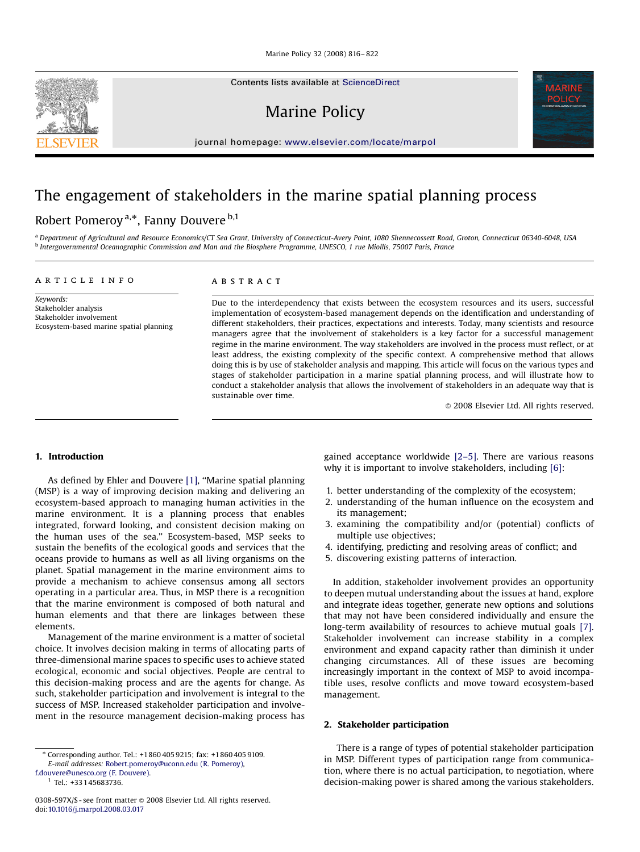Marine Policy 32 (2008) 816– 822

Contents lists available at [ScienceDirect](www.sciencedirect.com/science/journal/jmpo)

Marine Policy

journal homepage: <www.elsevier.com/locate/marpol>

# The engagement of stakeholders in the marine spatial planning process

# Robert Pomeroy<sup>a,</sup>\*, Fanny Douvere<sup>b,1</sup>

a Department of Agricultural and Resource Economics/CT Sea Grant, University of Connecticut-Avery Point, 1080 Shennecossett Road, Groton, Connecticut 06340-6048, USA <sup>b</sup> Intergovernmental Oceanographic Commission and Man and the Biosphere Programme, UNESCO, 1 rue Miollis, 75007 Paris, France

#### article info

# **ABSTRACT**

Keywords: Stakeholder analysis Stakeholder involvement Ecosystem-based marine spatial planning

Due to the interdependency that exists between the ecosystem resources and its users, successful implementation of ecosystem-based management depends on the identification and understanding of different stakeholders, their practices, expectations and interests. Today, many scientists and resource managers agree that the involvement of stakeholders is a key factor for a successful management regime in the marine environment. The way stakeholders are involved in the process must reflect, or at least address, the existing complexity of the specific context. A comprehensive method that allows doing this is by use of stakeholder analysis and mapping. This article will focus on the various types and stages of stakeholder participation in a marine spatial planning process, and will illustrate how to conduct a stakeholder analysis that allows the involvement of stakeholders in an adequate way that is sustainable over time.

 $©$  2008 Elsevier Ltd. All rights reserved.

#### 1. Introduction

As defined by Ehler and Douvere [\[1\],](#page-6-0) ''Marine spatial planning (MSP) is a way of improving decision making and delivering an ecosystem-based approach to managing human activities in the marine environment. It is a planning process that enables integrated, forward looking, and consistent decision making on the human uses of the sea.'' Ecosystem-based, MSP seeks to sustain the benefits of the ecological goods and services that the oceans provide to humans as well as all living organisms on the planet. Spatial management in the marine environment aims to provide a mechanism to achieve consensus among all sectors operating in a particular area. Thus, in MSP there is a recognition that the marine environment is composed of both natural and human elements and that there are linkages between these elements.

Management of the marine environment is a matter of societal choice. It involves decision making in terms of allocating parts of three-dimensional marine spaces to specific uses to achieve stated ecological, economic and social objectives. People are central to this decision-making process and are the agents for change. As such, stakeholder participation and involvement is integral to the success of MSP. Increased stakeholder participation and involvement in the resource management decision-making process has

[f.douvere@unesco.org \(F. Douvere\).](mailto:f.douvere@unesco.org)

gained acceptance worldwide [\[2–5\].](#page-6-0) There are various reasons why it is important to involve stakeholders, including [\[6\]:](#page-6-0)

- 1. better understanding of the complexity of the ecosystem;
- 2. understanding of the human influence on the ecosystem and its management;
- 3. examining the compatibility and/or (potential) conflicts of multiple use objectives;
- 4. identifying, predicting and resolving areas of conflict; and
- 5. discovering existing patterns of interaction.

In addition, stakeholder involvement provides an opportunity to deepen mutual understanding about the issues at hand, explore and integrate ideas together, generate new options and solutions that may not have been considered individually and ensure the long-term availability of resources to achieve mutual goals [\[7\].](#page-6-0) Stakeholder involvement can increase stability in a complex environment and expand capacity rather than diminish it under changing circumstances. All of these issues are becoming increasingly important in the context of MSP to avoid incompatible uses, resolve conflicts and move toward ecosystem-based management.

## 2. Stakeholder participation

There is a range of types of potential stakeholder participation in MSP. Different types of participation range from communication, where there is no actual participation, to negotiation, where decision-making power is shared among the various stakeholders.



<sup>-</sup> Corresponding author. Tel.: +1860 405 9215; fax: +1860 405 9109. E-mail addresses: [Robert.pomeroy@uconn.edu \(R. Pomeroy\)](mailto:Robert.pomeroy@uconn.edu),

<sup>1</sup> Tel.: +33145683736.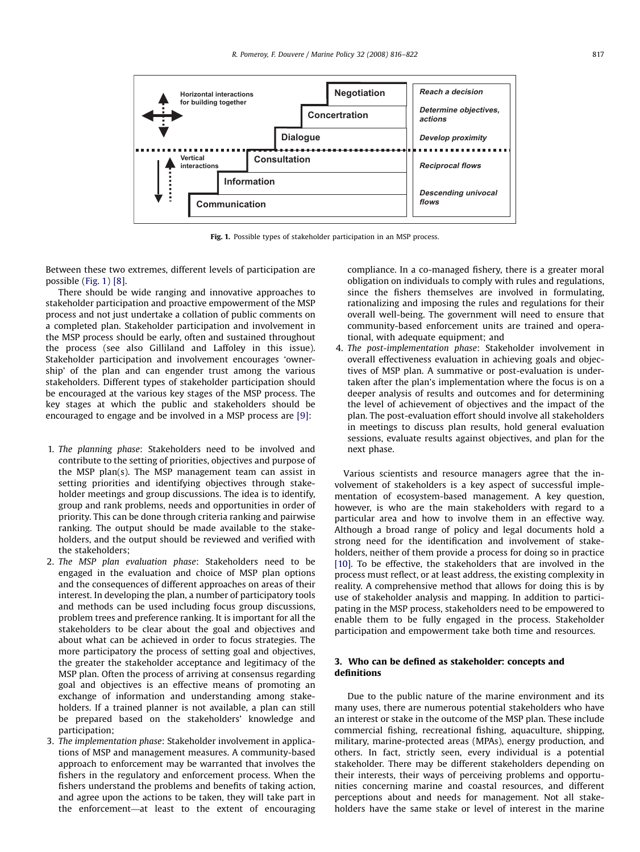

Fig. 1. Possible types of stakeholder participation in an MSP process.

Between these two extremes, different levels of participation are possible (Fig. 1) [\[8\]](#page-6-0).

There should be wide ranging and innovative approaches to stakeholder participation and proactive empowerment of the MSP process and not just undertake a collation of public comments on a completed plan. Stakeholder participation and involvement in the MSP process should be early, often and sustained throughout the process (see also Gilliland and Laffoley in this issue). Stakeholder participation and involvement encourages 'ownership' of the plan and can engender trust among the various stakeholders. Different types of stakeholder participation should be encouraged at the various key stages of the MSP process. The key stages at which the public and stakeholders should be encouraged to engage and be involved in a MSP process are [\[9\]](#page-6-0):

- 1. The planning phase: Stakeholders need to be involved and contribute to the setting of priorities, objectives and purpose of the MSP plan(s). The MSP management team can assist in setting priorities and identifying objectives through stakeholder meetings and group discussions. The idea is to identify, group and rank problems, needs and opportunities in order of priority. This can be done through criteria ranking and pairwise ranking. The output should be made available to the stakeholders, and the output should be reviewed and verified with the stakeholders;
- 2. The MSP plan evaluation phase: Stakeholders need to be engaged in the evaluation and choice of MSP plan options and the consequences of different approaches on areas of their interest. In developing the plan, a number of participatory tools and methods can be used including focus group discussions, problem trees and preference ranking. It is important for all the stakeholders to be clear about the goal and objectives and about what can be achieved in order to focus strategies. The more participatory the process of setting goal and objectives, the greater the stakeholder acceptance and legitimacy of the MSP plan. Often the process of arriving at consensus regarding goal and objectives is an effective means of promoting an exchange of information and understanding among stakeholders. If a trained planner is not available, a plan can still be prepared based on the stakeholders' knowledge and participation;
- 3. The implementation phase: Stakeholder involvement in applications of MSP and management measures. A community-based approach to enforcement may be warranted that involves the fishers in the regulatory and enforcement process. When the fishers understand the problems and benefits of taking action, and agree upon the actions to be taken, they will take part in the enforcement—at least to the extent of encouraging

compliance. In a co-managed fishery, there is a greater moral obligation on individuals to comply with rules and regulations, since the fishers themselves are involved in formulating, rationalizing and imposing the rules and regulations for their overall well-being. The government will need to ensure that community-based enforcement units are trained and operational, with adequate equipment; and

4. The post-implementation phase: Stakeholder involvement in overall effectiveness evaluation in achieving goals and objectives of MSP plan. A summative or post-evaluation is undertaken after the plan's implementation where the focus is on a deeper analysis of results and outcomes and for determining the level of achievement of objectives and the impact of the plan. The post-evaluation effort should involve all stakeholders in meetings to discuss plan results, hold general evaluation sessions, evaluate results against objectives, and plan for the next phase.

Various scientists and resource managers agree that the involvement of stakeholders is a key aspect of successful implementation of ecosystem-based management. A key question, however, is who are the main stakeholders with regard to a particular area and how to involve them in an effective way. Although a broad range of policy and legal documents hold a strong need for the identification and involvement of stakeholders, neither of them provide a process for doing so in practice [\[10\].](#page-6-0) To be effective, the stakeholders that are involved in the process must reflect, or at least address, the existing complexity in reality. A comprehensive method that allows for doing this is by use of stakeholder analysis and mapping. In addition to participating in the MSP process, stakeholders need to be empowered to enable them to be fully engaged in the process. Stakeholder participation and empowerment take both time and resources.

### 3. Who can be defined as stakeholder: concepts and definitions

Due to the public nature of the marine environment and its many uses, there are numerous potential stakeholders who have an interest or stake in the outcome of the MSP plan. These include commercial fishing, recreational fishing, aquaculture, shipping, military, marine-protected areas (MPAs), energy production, and others. In fact, strictly seen, every individual is a potential stakeholder. There may be different stakeholders depending on their interests, their ways of perceiving problems and opportunities concerning marine and coastal resources, and different perceptions about and needs for management. Not all stakeholders have the same stake or level of interest in the marine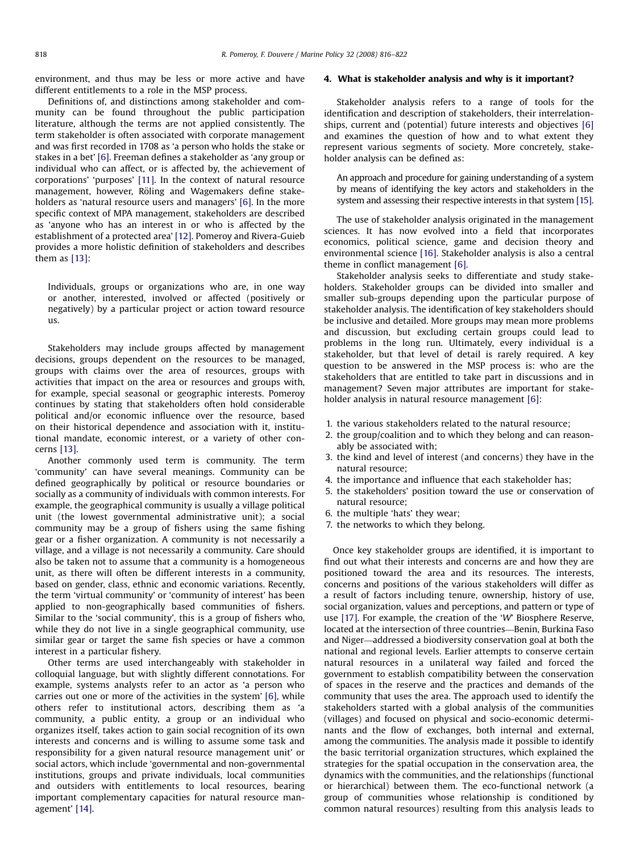environment, and thus may be less or more active and have different entitlements to a role in the MSP process.

Definitions of, and distinctions among stakeholder and community can be found throughout the public participation literature, although the terms are not applied consistently. The term stakeholder is often associated with corporate management and was first recorded in 1708 as 'a person who holds the stake or stakes in a bet' [\[6\].](#page-6-0) Freeman defines a stakeholder as 'any group or individual who can affect, or is affected by, the achievement of corporations' 'purposes' [\[11\]](#page-6-0). In the context of natural resource management, however, Röling and Wagemakers define stakeholders as 'natural resource users and managers' [\[6\].](#page-6-0) In the more specific context of MPA management, stakeholders are described as 'anyone who has an interest in or who is affected by the establishment of a protected area' [\[12\]](#page-6-0). Pomeroy and Rivera-Guieb provides a more holistic definition of stakeholders and describes them as [\[13\]:](#page-6-0)

Individuals, groups or organizations who are, in one way or another, interested, involved or affected (positively or negatively) by a particular project or action toward resource us.

Stakeholders may include groups affected by management decisions, groups dependent on the resources to be managed, groups with claims over the area of resources, groups with activities that impact on the area or resources and groups with, for example, special seasonal or geographic interests. Pomeroy continues by stating that stakeholders often hold considerable political and/or economic influence over the resource, based on their historical dependence and association with it, institutional mandate, economic interest, or a variety of other concerns [\[13\].](#page-6-0)

Another commonly used term is community. The term 'community' can have several meanings. Community can be defined geographically by political or resource boundaries or socially as a community of individuals with common interests. For example, the geographical community is usually a village political unit (the lowest governmental administrative unit); a social community may be a group of fishers using the same fishing gear or a fisher organization. A community is not necessarily a village, and a village is not necessarily a community. Care should also be taken not to assume that a community is a homogeneous unit, as there will often be different interests in a community, based on gender, class, ethnic and economic variations. Recently, the term 'virtual community' or 'community of interest' has been applied to non-geographically based communities of fishers. Similar to the 'social community', this is a group of fishers who, while they do not live in a single geographical community, use similar gear or target the same fish species or have a common interest in a particular fishery.

Other terms are used interchangeably with stakeholder in colloquial language, but with slightly different connotations. For example, systems analysts refer to an actor as 'a person who carries out one or more of the activities in the system' [\[6\],](#page-6-0) while others refer to institutional actors, describing them as 'a community, a public entity, a group or an individual who organizes itself, takes action to gain social recognition of its own interests and concerns and is willing to assume some task and responsibility for a given natural resource management unit' or social actors, which include 'governmental and non-governmental institutions, groups and private individuals, local communities and outsiders with entitlements to local resources, bearing important complementary capacities for natural resource management' [\[14\].](#page-6-0)

#### 4. What is stakeholder analysis and why is it important?

Stakeholder analysis refers to a range of tools for the identification and description of stakeholders, their interrelationships, current and (potential) future interests and objectives [\[6\]](#page-6-0) and examines the question of how and to what extent they represent various segments of society. More concretely, stakeholder analysis can be defined as:

An approach and procedure for gaining understanding of a system by means of identifying the key actors and stakeholders in the system and assessing their respective interests in that system [\[15\].](#page-6-0)

The use of stakeholder analysis originated in the management sciences. It has now evolved into a field that incorporates economics, political science, game and decision theory and environmental science [\[16\]](#page-6-0). Stakeholder analysis is also a central theme in conflict management [\[6\].](#page-6-0)

Stakeholder analysis seeks to differentiate and study stakeholders. Stakeholder groups can be divided into smaller and smaller sub-groups depending upon the particular purpose of stakeholder analysis. The identification of key stakeholders should be inclusive and detailed. More groups may mean more problems and discussion, but excluding certain groups could lead to problems in the long run. Ultimately, every individual is a stakeholder, but that level of detail is rarely required. A key question to be answered in the MSP process is: who are the stakeholders that are entitled to take part in discussions and in management? Seven major attributes are important for stake-holder analysis in natural resource management [\[6\]:](#page-6-0)

- 1. the various stakeholders related to the natural resource;
- 2. the group/coalition and to which they belong and can reasonably be associated with;
- 3. the kind and level of interest (and concerns) they have in the natural resource;
- 4. the importance and influence that each stakeholder has;
- 5. the stakeholders' position toward the use or conservation of natural resource;
- 6. the multiple 'hats' they wear;
- 7. the networks to which they belong.

Once key stakeholder groups are identified, it is important to find out what their interests and concerns are and how they are positioned toward the area and its resources. The interests, concerns and positions of the various stakeholders will differ as a result of factors including tenure, ownership, history of use, social organization, values and perceptions, and pattern or type of use [\[17\].](#page-6-0) For example, the creation of the 'W' Biosphere Reserve, located at the intersection of three countries—Benin, Burkina Faso and Niger—addressed a biodiversity conservation goal at both the national and regional levels. Earlier attempts to conserve certain natural resources in a unilateral way failed and forced the government to establish compatibility between the conservation of spaces in the reserve and the practices and demands of the community that uses the area. The approach used to identify the stakeholders started with a global analysis of the communities (villages) and focused on physical and socio-economic determinants and the flow of exchanges, both internal and external, among the communities. The analysis made it possible to identify the basic territorial organization structures, which explained the strategies for the spatial occupation in the conservation area, the dynamics with the communities, and the relationships (functional or hierarchical) between them. The eco-functional network (a group of communities whose relationship is conditioned by common natural resources) resulting from this analysis leads to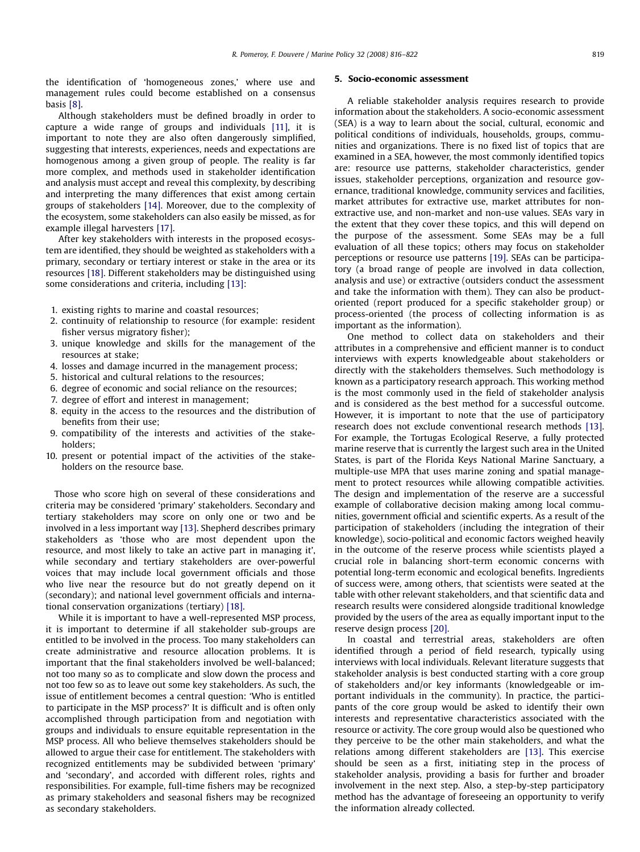the identification of 'homogeneous zones,' where use and management rules could become established on a consensus basis [\[8\]](#page-6-0).

Although stakeholders must be defined broadly in order to capture a wide range of groups and individuals [\[11\],](#page-6-0) it is important to note they are also often dangerously simplified, suggesting that interests, experiences, needs and expectations are homogenous among a given group of people. The reality is far more complex, and methods used in stakeholder identification and analysis must accept and reveal this complexity, by describing and interpreting the many differences that exist among certain groups of stakeholders [\[14\]](#page-6-0). Moreover, due to the complexity of the ecosystem, some stakeholders can also easily be missed, as for example illegal harvesters [\[17\].](#page-6-0)

After key stakeholders with interests in the proposed ecosystem are identified, they should be weighted as stakeholders with a primary, secondary or tertiary interest or stake in the area or its resources [\[18\]](#page-6-0). Different stakeholders may be distinguished using some considerations and criteria, including [\[13\]:](#page-6-0)

1. existing rights to marine and coastal resources;

- 2. continuity of relationship to resource (for example: resident fisher versus migratory fisher);
- 3. unique knowledge and skills for the management of the resources at stake;
- 4. losses and damage incurred in the management process;
- 5. historical and cultural relations to the resources;
- 6. degree of economic and social reliance on the resources;
- 7. degree of effort and interest in management;
- 8. equity in the access to the resources and the distribution of benefits from their use;
- 9. compatibility of the interests and activities of the stakeholders;
- 10. present or potential impact of the activities of the stakeholders on the resource base.

Those who score high on several of these considerations and criteria may be considered 'primary' stakeholders. Secondary and tertiary stakeholders may score on only one or two and be involved in a less important way [\[13\]](#page-6-0). Shepherd describes primary stakeholders as 'those who are most dependent upon the resource, and most likely to take an active part in managing it', while secondary and tertiary stakeholders are over-powerful voices that may include local government officials and those who live near the resource but do not greatly depend on it (secondary); and national level government officials and international conservation organizations (tertiary) [\[18\]](#page-6-0).

While it is important to have a well-represented MSP process, it is important to determine if all stakeholder sub-groups are entitled to be involved in the process. Too many stakeholders can create administrative and resource allocation problems. It is important that the final stakeholders involved be well-balanced; not too many so as to complicate and slow down the process and not too few so as to leave out some key stakeholders. As such, the issue of entitlement becomes a central question: 'Who is entitled to participate in the MSP process?' It is difficult and is often only accomplished through participation from and negotiation with groups and individuals to ensure equitable representation in the MSP process. All who believe themselves stakeholders should be allowed to argue their case for entitlement. The stakeholders with recognized entitlements may be subdivided between 'primary' and 'secondary', and accorded with different roles, rights and responsibilities. For example, full-time fishers may be recognized as primary stakeholders and seasonal fishers may be recognized as secondary stakeholders.

#### 5. Socio-economic assessment

A reliable stakeholder analysis requires research to provide information about the stakeholders. A socio-economic assessment (SEA) is a way to learn about the social, cultural, economic and political conditions of individuals, households, groups, communities and organizations. There is no fixed list of topics that are examined in a SEA, however, the most commonly identified topics are: resource use patterns, stakeholder characteristics, gender issues, stakeholder perceptions, organization and resource governance, traditional knowledge, community services and facilities, market attributes for extractive use, market attributes for nonextractive use, and non-market and non-use values. SEAs vary in the extent that they cover these topics, and this will depend on the purpose of the assessment. Some SEAs may be a full evaluation of all these topics; others may focus on stakeholder perceptions or resource use patterns [\[19\]](#page-6-0). SEAs can be participatory (a broad range of people are involved in data collection, analysis and use) or extractive (outsiders conduct the assessment and take the information with them). They can also be productoriented (report produced for a specific stakeholder group) or process-oriented (the process of collecting information is as important as the information).

One method to collect data on stakeholders and their attributes in a comprehensive and efficient manner is to conduct interviews with experts knowledgeable about stakeholders or directly with the stakeholders themselves. Such methodology is known as a participatory research approach. This working method is the most commonly used in the field of stakeholder analysis and is considered as the best method for a successful outcome. However, it is important to note that the use of participatory research does not exclude conventional research methods [\[13\].](#page-6-0) For example, the Tortugas Ecological Reserve, a fully protected marine reserve that is currently the largest such area in the United States, is part of the Florida Keys National Marine Sanctuary, a multiple-use MPA that uses marine zoning and spatial management to protect resources while allowing compatible activities. The design and implementation of the reserve are a successful example of collaborative decision making among local communities, government official and scientific experts. As a result of the participation of stakeholders (including the integration of their knowledge), socio-political and economic factors weighed heavily in the outcome of the reserve process while scientists played a crucial role in balancing short-term economic concerns with potential long-term economic and ecological benefits. Ingredients of success were, among others, that scientists were seated at the table with other relevant stakeholders, and that scientific data and research results were considered alongside traditional knowledge provided by the users of the area as equally important input to the reserve design process [\[20\]](#page-6-0).

In coastal and terrestrial areas, stakeholders are often identified through a period of field research, typically using interviews with local individuals. Relevant literature suggests that stakeholder analysis is best conducted starting with a core group of stakeholders and/or key informants (knowledgeable or important individuals in the community). In practice, the participants of the core group would be asked to identify their own interests and representative characteristics associated with the resource or activity. The core group would also be questioned who they perceive to be the other main stakeholders, and what the relations among different stakeholders are [\[13\]](#page-6-0). This exercise should be seen as a first, initiating step in the process of stakeholder analysis, providing a basis for further and broader involvement in the next step. Also, a step-by-step participatory method has the advantage of foreseeing an opportunity to verify the information already collected.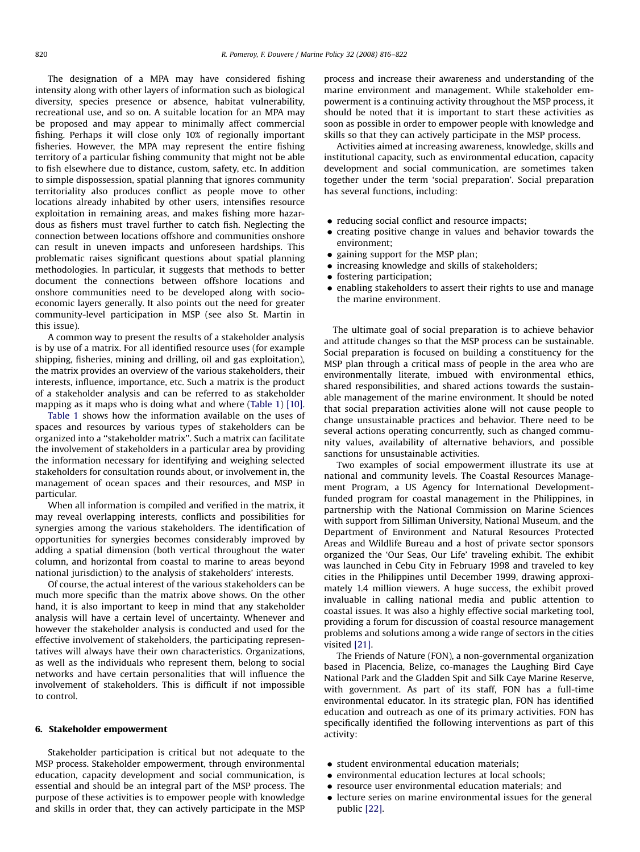The designation of a MPA may have considered fishing intensity along with other layers of information such as biological diversity, species presence or absence, habitat vulnerability, recreational use, and so on. A suitable location for an MPA may be proposed and may appear to minimally affect commercial fishing. Perhaps it will close only 10% of regionally important fisheries. However, the MPA may represent the entire fishing territory of a particular fishing community that might not be able to fish elsewhere due to distance, custom, safety, etc. In addition to simple dispossession, spatial planning that ignores community territoriality also produces conflict as people move to other locations already inhabited by other users, intensifies resource exploitation in remaining areas, and makes fishing more hazardous as fishers must travel further to catch fish. Neglecting the connection between locations offshore and communities onshore can result in uneven impacts and unforeseen hardships. This problematic raises significant questions about spatial planning methodologies. In particular, it suggests that methods to better document the connections between offshore locations and onshore communities need to be developed along with socioeconomic layers generally. It also points out the need for greater community-level participation in MSP (see also St. Martin in this issue).

A common way to present the results of a stakeholder analysis is by use of a matrix. For all identified resource uses (for example shipping, fisheries, mining and drilling, oil and gas exploitation), the matrix provides an overview of the various stakeholders, their interests, influence, importance, etc. Such a matrix is the product of a stakeholder analysis and can be referred to as stakeholder mapping as it maps who is doing what and where [\(Table 1\)](#page-5-0) [\[10\].](#page-6-0)

[Table 1](#page-5-0) shows how the information available on the uses of spaces and resources by various types of stakeholders can be organized into a ''stakeholder matrix''. Such a matrix can facilitate the involvement of stakeholders in a particular area by providing the information necessary for identifying and weighing selected stakeholders for consultation rounds about, or involvement in, the management of ocean spaces and their resources, and MSP in particular.

When all information is compiled and verified in the matrix, it may reveal overlapping interests, conflicts and possibilities for synergies among the various stakeholders. The identification of opportunities for synergies becomes considerably improved by adding a spatial dimension (both vertical throughout the water column, and horizontal from coastal to marine to areas beyond national jurisdiction) to the analysis of stakeholders' interests.

Of course, the actual interest of the various stakeholders can be much more specific than the matrix above shows. On the other hand, it is also important to keep in mind that any stakeholder analysis will have a certain level of uncertainty. Whenever and however the stakeholder analysis is conducted and used for the effective involvement of stakeholders, the participating representatives will always have their own characteristics. Organizations, as well as the individuals who represent them, belong to social networks and have certain personalities that will influence the involvement of stakeholders. This is difficult if not impossible to control.

#### 6. Stakeholder empowerment

Stakeholder participation is critical but not adequate to the MSP process. Stakeholder empowerment, through environmental education, capacity development and social communication, is essential and should be an integral part of the MSP process. The purpose of these activities is to empower people with knowledge and skills in order that, they can actively participate in the MSP process and increase their awareness and understanding of the marine environment and management. While stakeholder empowerment is a continuing activity throughout the MSP process, it should be noted that it is important to start these activities as soon as possible in order to empower people with knowledge and skills so that they can actively participate in the MSP process.

Activities aimed at increasing awareness, knowledge, skills and institutional capacity, such as environmental education, capacity development and social communication, are sometimes taken together under the term 'social preparation'. Social preparation has several functions, including:

- $\bullet$  reducing social conflict and resource impacts;
- creating positive change in values and behavior towards the environment;
- gaining support for the MSP plan;
- $\bullet$  increasing knowledge and skills of stakeholders;
- **·** fostering participation;
- enabling stakeholders to assert their rights to use and manage the marine environment.

The ultimate goal of social preparation is to achieve behavior and attitude changes so that the MSP process can be sustainable. Social preparation is focused on building a constituency for the MSP plan through a critical mass of people in the area who are environmentally literate, imbued with environmental ethics, shared responsibilities, and shared actions towards the sustainable management of the marine environment. It should be noted that social preparation activities alone will not cause people to change unsustainable practices and behavior. There need to be several actions operating concurrently, such as changed community values, availability of alternative behaviors, and possible sanctions for unsustainable activities.

Two examples of social empowerment illustrate its use at national and community levels. The Coastal Resources Management Program, a US Agency for International Developmentfunded program for coastal management in the Philippines, in partnership with the National Commission on Marine Sciences with support from Silliman University, National Museum, and the Department of Environment and Natural Resources Protected Areas and Wildlife Bureau and a host of private sector sponsors organized the 'Our Seas, Our Life' traveling exhibit. The exhibit was launched in Cebu City in February 1998 and traveled to key cities in the Philippines until December 1999, drawing approximately 1.4 million viewers. A huge success, the exhibit proved invaluable in calling national media and public attention to coastal issues. It was also a highly effective social marketing tool, providing a forum for discussion of coastal resource management problems and solutions among a wide range of sectors in the cities visited [\[21\]](#page-6-0).

The Friends of Nature (FON), a non-governmental organization based in Placencia, Belize, co-manages the Laughing Bird Caye National Park and the Gladden Spit and Silk Caye Marine Reserve, with government. As part of its staff, FON has a full-time environmental educator. In its strategic plan, FON has identified education and outreach as one of its primary activities. FON has specifically identified the following interventions as part of this activity:

- $\bullet$  student environmental education materials;
- $\bullet$  environmental education lectures at local schools;
- resource user environmental education materials; and
- lecture series on marine environmental issues for the general public [\[22\].](#page-6-0)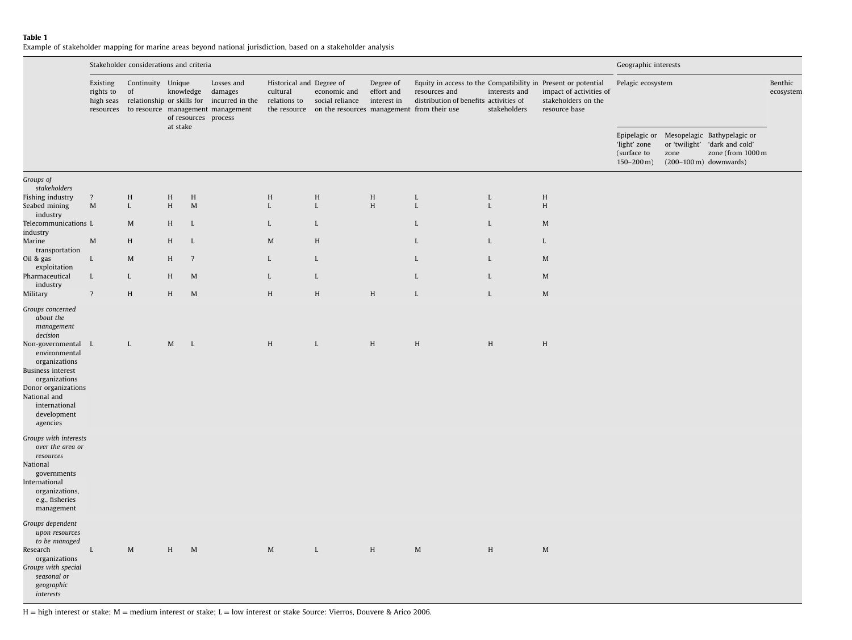<span id="page-5-0"></span>Example of stakeholder mapping for marine areas beyond national jurisdiction, based on <sup>a</sup> stakeholder analysis

|                                                                                                                                                       | Stakeholder considerations and criteria         |                         |           |                                                                                                                                  |                                                      |                                                                                            |                                        |                                                                                                                          |                               |                                                                 | Geographic interests                          |      |                                                                                                                                        |                      |
|-------------------------------------------------------------------------------------------------------------------------------------------------------|-------------------------------------------------|-------------------------|-----------|----------------------------------------------------------------------------------------------------------------------------------|------------------------------------------------------|--------------------------------------------------------------------------------------------|----------------------------------------|--------------------------------------------------------------------------------------------------------------------------|-------------------------------|-----------------------------------------------------------------|-----------------------------------------------|------|----------------------------------------------------------------------------------------------------------------------------------------|----------------------|
|                                                                                                                                                       | Existing<br>rights to<br>high seas<br>resources | Continuity Unique<br>of | knowledge | Losses and<br>damages<br>relationship or skills for incurred in the<br>to resource management management<br>of resources process | Historical and Degree of<br>cultural<br>relations to | economic and<br>social reliance<br>the resource on the resources management from their use | Degree of<br>effort and<br>interest in | Equity in access to the Compatibility in Present or potential<br>resources and<br>distribution of benefits activities of | interests and<br>stakeholders | impact of activities of<br>stakeholders on the<br>resource base | Pelagic ecosystem                             |      |                                                                                                                                        | Benthic<br>ecosystem |
|                                                                                                                                                       |                                                 |                         | at stake  |                                                                                                                                  |                                                      |                                                                                            |                                        |                                                                                                                          |                               |                                                                 | 'light' zone<br>(surface to<br>$150 - 200$ m) | zone | Epipelagic or Mesopelagic Bathypelagic or<br>or 'twilight' 'dark and cold'<br>zone (from 1000 m<br>$(200-100 \,\mathrm{m})$ downwards) |                      |
| Groups of                                                                                                                                             |                                                 |                         |           |                                                                                                                                  |                                                      |                                                                                            |                                        |                                                                                                                          |                               |                                                                 |                                               |      |                                                                                                                                        |                      |
| stakeholders<br>Fishing industry<br>Seabed mining                                                                                                     | $\overline{\mathcal{L}}$<br>M                   | H<br>L                  | H<br>H    | H<br>M                                                                                                                           | H<br>$\mathbf L$                                     | H<br>$\mathbf{L}$                                                                          | $\,$ H<br>$\,$ H                       | L<br>L                                                                                                                   | L<br>$\mathbf{L}$             | H<br>H                                                          |                                               |      |                                                                                                                                        |                      |
| industry<br>Telecommunications L                                                                                                                      |                                                 | $\mathbf M$             | H         | L                                                                                                                                | $\mathbf L$                                          | L                                                                                          |                                        | L                                                                                                                        | L                             | $\mathbf M$                                                     |                                               |      |                                                                                                                                        |                      |
| industry<br>Marine                                                                                                                                    | M                                               | H                       | H         | L                                                                                                                                | M                                                    | $\,$ H                                                                                     |                                        | L                                                                                                                        | L                             | L                                                               |                                               |      |                                                                                                                                        |                      |
| transportation<br>Oil & gas<br>exploitation                                                                                                           | L                                               | $\mathbf M$             | H         | $\overline{\mathcal{L}}$                                                                                                         | $\mathbf L$                                          | L                                                                                          |                                        | L                                                                                                                        | L                             | M                                                               |                                               |      |                                                                                                                                        |                      |
| Pharmaceutical<br>industry                                                                                                                            | $\mathbf{L}$                                    | L                       | H         | $\mathbf M$                                                                                                                      | $\mathbf L$                                          | $\mathbf{L}$                                                                               |                                        | L                                                                                                                        | L                             | $\mathbf M$                                                     |                                               |      |                                                                                                                                        |                      |
| Military                                                                                                                                              | $\overline{\mathcal{E}}$                        | $\,$ H                  | H         | M                                                                                                                                | H                                                    | H                                                                                          | $\boldsymbol{\mathrm{H}}$              | L                                                                                                                        | L                             | M                                                               |                                               |      |                                                                                                                                        |                      |
| Groups concerned<br>about the<br>management<br>decision<br>Non-governmental<br>environmental                                                          | $\mathbf{L}$                                    | L                       | M<br>L    |                                                                                                                                  | H                                                    | L                                                                                          | $\,$ H                                 | H                                                                                                                        | H                             | H                                                               |                                               |      |                                                                                                                                        |                      |
| organizations<br><b>Business interest</b><br>organizations<br>Donor organizations<br>National and<br>international<br>development<br>agencies         |                                                 |                         |           |                                                                                                                                  |                                                      |                                                                                            |                                        |                                                                                                                          |                               |                                                                 |                                               |      |                                                                                                                                        |                      |
| Groups with interests<br>over the area or<br>resources<br>National<br>governments<br>International<br>organizations,<br>e.g., fisheries<br>management |                                                 |                         |           |                                                                                                                                  |                                                      |                                                                                            |                                        |                                                                                                                          |                               |                                                                 |                                               |      |                                                                                                                                        |                      |
| Groups dependent<br>upon resources<br>to be managed<br>Research<br>organizations                                                                      | $\mathbf{L}$                                    | $M_{\odot}$             | H         | M                                                                                                                                | $M_{\odot}$                                          | L                                                                                          | H                                      | M                                                                                                                        | H                             | M                                                               |                                               |      |                                                                                                                                        |                      |
| Groups with special<br>seasonal or<br>geographic<br>interests                                                                                         |                                                 |                         |           |                                                                                                                                  |                                                      |                                                                                            |                                        |                                                                                                                          |                               |                                                                 |                                               |      |                                                                                                                                        |                      |